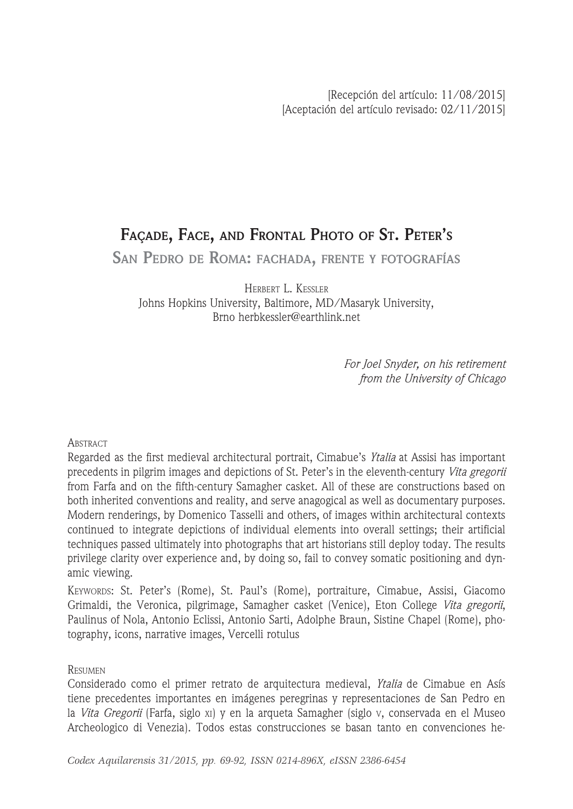# **FAÇADE, FACE, AND FRONTAL PHOTO OF ST. PETER'S**

**SAN PEDRO DE ROMA: FACHADA, FRENTE <sup>Y</sup> FOTOGRAFÍAS**

HERBERT L. KESSLER Johns Hopkins University, Baltimore, MD/Masaryk University, Brno herbkessler@earthlink.net

> *For Joel Snyder, on his retirement from the University of Chicago*

# **ABSTRACT**

Regarded as the first medieval architectural portrait, Cimabue's *Ytalia* at Assisi has important precedents in pilgrim images and depictions of St. Peter's in the eleventh-century *Vita gregorii*  from Farfa and on the fifth-century Samagher casket. All of these are constructions based on both inherited conventions and reality, and serve anagogical as well as documentary purposes. Modern renderings, by Domenico Tasselli and others, of images within architectural contexts continued to integrate depictions of individual elements into overall settings; their artificial techniques passed ultimately into photographs that art historians still deploy today. The results privilege clarity over experience and, by doing so, fail to convey somatic positioning and dynamic viewing.

KEYWORDS: St. Peter's (Rome), St. Paul's (Rome), portraiture, Cimabue, Assisi, Giacomo Grimaldi, the Veronica, pilgrimage, Samagher casket (Venice), Eton College *Vita gregorii*, Paulinus of Nola, Antonio Eclissi, Antonio Sarti, Adolphe Braun, Sistine Chapel (Rome), photography, icons, narrative images, Vercelli rotulus

# **RESUMEN**

Considerado como el primer retrato de arquitectura medieval, *Ytalia* de Cimabue en Asís tiene precedentes importantes en imágenes peregrinas y representaciones de San Pedro en la *Vita Gregorii* (Farfa, siglo xi) y en la arqueta Samagher (siglo v, conservada en el Museo Archeologico di Venezia). Todos estas construcciones se basan tanto en convenciones he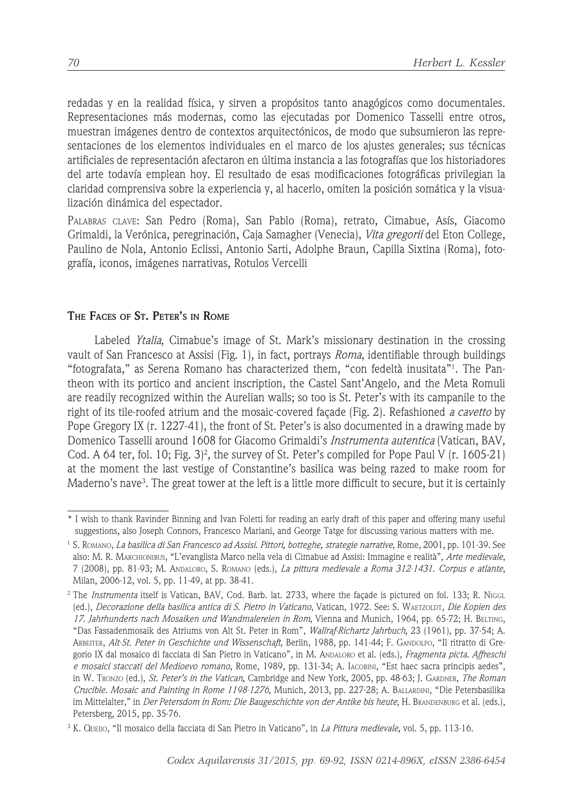redadas y en la realidad física, y sirven a propósitos tanto anagógicos como documentales. Representaciones más modernas, como las ejecutadas por Domenico Tasselli entre otros, muestran imágenes dentro de contextos arquitectónicos, de modo que subsumieron las representaciones de los elementos individuales en el marco de los ajustes generales; sus técnicas artificiales de representación afectaron en última instancia a las fotografías que los historiadores del arte todavía emplean hoy. El resultado de esas modificaciones fotográficas privilegian la claridad comprensiva sobre la experiencia y, al hacerlo, omiten la posición somática y la visualización dinámica del espectador.

PALABRAS CLAVE: San Pedro (Roma), San Pablo (Roma), retrato, Cimabue, Asís, Giacomo Grimaldi, la Verónica, peregrinación, Caja Samagher (Venecia), *Vita gregorii* del Eton College, Paulino de Nola, Antonio Eclissi, Antonio Sarti, Adolphe Braun, Capilla Sixtina (Roma), fotografía, iconos, imágenes narrativas, Rotulos Vercelli

# **THE FACES OF ST. PETER'S IN ROME**

Labeled *Ytalia*, Cimabue's image of St. Mark's missionary destination in the crossing vault of San Francesco at Assisi (Fig. 1), in fact, portrays *Roma*, identifiable through buildings "fotografata," as Serena Romano has characterized them, "con fedeltà inusitata"1 . The Pantheon with its portico and ancient inscription, the Castel Sant'Angelo, and the Meta Romuli are readily recognized within the Aurelian walls; so too is St. Peter's with its campanile to the right of its tile-roofed atrium and the mosaic-covered façade (Fig. 2). Refashioned *a cavetto* by Pope Gregory IX (r. 1227-41), the front of St. Peter's is also documented in a drawing made by Domenico Tasselli around 1608 for Giacomo Grimaldi's *Instrumenta autentica* (Vatican, BAV, Cod. A 64 ter, fol. 10; Fig. 3)<sup>2</sup>, the survey of St. Peter's compiled for Pope Paul V (r. 1605-21) at the moment the last vestige of Constantine's basilica was being razed to make room for Maderno's nave<sup>3</sup>. The great tower at the left is a little more difficult to secure, but it is certainly

<sup>\*</sup> I wish to thank Ravinder Binning and Ivan Foletti for reading an early draft of this paper and offering many useful suggestions, also Joseph Connors, Francesco Mariani, and George Tatge for discussing various matters with me.

<sup>1</sup> S. ROMANO, *La basilica di San Francesco ad Assisi. Pittori, botteghe, strategie narrative*, Rome, 2001, pp. 101-39. See also: M. R. MARCHIONIBUS, "L'evanglista Marco nella vela di Cimabue ad Assisi: Immagine e realità", *Arte medievale*, 7 (2008), pp. 81-93; M. ANDALORO, S. ROMANO (eds.), *La pittura medievale a Roma 312-1431. Corpus e atlante*, Milan, 2006-12, vol. 5, pp. 11-49, at pp. 38-41.

<sup>2</sup> The *Instrumenta* itself is Vatican, BAV, Cod. Barb. lat. 2733, where the façade is pictured on fol. 133; R. NIGGL (ed.), *Decorazione della basilica antica di S. Pietro in Vaticano*, Vatican, 1972. See: S. WAETZOLDT, *Die Kopien des 17. Jahrhunderts nach Mosaiken und Wandmalereien in Rom*, Vienna and Munich, 1964, pp. 65-72; H. BELTING, "Das Fassadenmosaik des Atriums von Alt St. Peter in Rom", *Wallraf-Richartz Jahrbuch*, 23 (1961), pp. 37-54; A. ARBEITER, *Alt-St. Peter in Geschichte und Wissenschaft*, Berlin, 1988, pp. 141-44; F. GANDOLFO, "Il ritratto di Gregorio IX dal mosaico di facciata di San Pietro in Vaticano", in M. ANDALORO et al. (eds.), *Fragmenta picta. Affreschi e mosaici staccati del Medioevo romano*, Rome, 1989, pp. 131-34; A. IACOBINI, "Est haec sacra principis aedes", in W. TRONZO (ed.), *St. Peter's in the Vatican*, Cambridge and New York, 2005, pp. 48-63; J. GARDNER, *The Roman Crucible. Mosaic and Painting in Rome 1198-1276*, Munich, 2013, pp. 227-28; A. BALLARDINI, "Die Petersbasilika im Mittelalter," in *Der Petersdom in Rom: Die Baugeschichte von der Antike bis heute*, H. BRANDENBURG et al. (eds.), Petersberg, 2015, pp. 35-76.

<sup>3</sup> K. QUEIJO, "Il mosaico della facciata di San Pietro in Vaticano", in *La Pittura medievale,* vol. 5, pp. 113-16.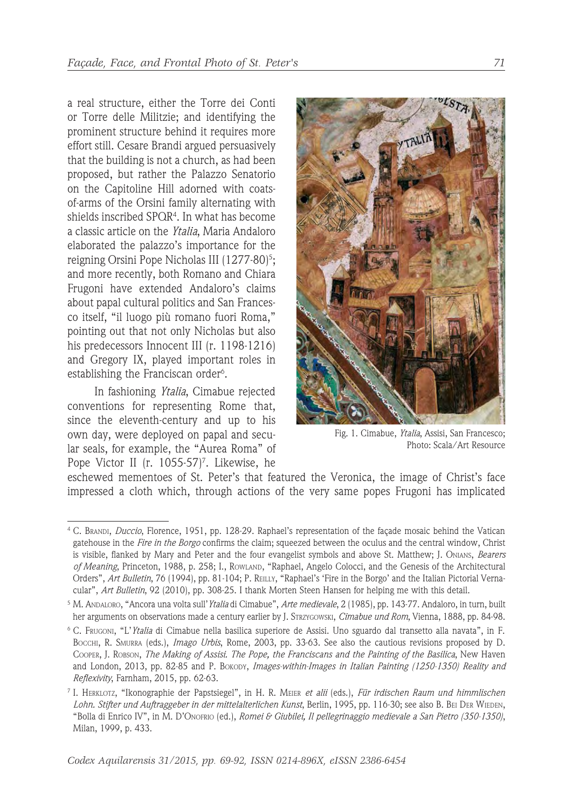a real structure, either the Torre dei Conti or Torre delle Militzie; and identifying the prominent structure behind it requires more effort still. Cesare Brandi argued persuasively that the building is not a church, as had been proposed, but rather the Palazzo Senatorio on the Capitoline Hill adorned with coatsof-arms of the Orsini family alternating with shields inscribed SPQR4 . In what has become a classic article on the *Ytalia*, Maria Andaloro elaborated the palazzo's importance for the reigning Orsini Pope Nicholas III (1277-80)<sup>5</sup>; and more recently, both Romano and Chiara Frugoni have extended Andaloro's claims about papal cultural politics and San Francesco itself, "il luogo più romano fuori Roma," pointing out that not only Nicholas but also his predecessors Innocent III (r. 1198-1216) and Gregory IX, played important roles in establishing the Franciscan order<sup>6</sup>.

In fashioning *Ytalia*, Cimabue rejected conventions for representing Rome that, since the eleventh-century and up to his own day, were deployed on papal and secular seals, for example, the "Aurea Roma" of Pope Victor II (r. 1055-57)<sup>7</sup>. Likewise, he



Fig. 1. Cimabue, *Ytalia*, Assisi, San Francesco; Photo: Scala/Art Resource

eschewed mementoes of St. Peter's that featured the Veronica, the image of Christ's face impressed a cloth which, through actions of the very same popes Frugoni has implicated

<sup>4</sup> C. BRANDI, *Duccio*, Florence, 1951, pp. 128-29. Raphael's representation of the façade mosaic behind the Vatican gatehouse in the *Fire in the Borgo* confirms the claim; squeezed between the oculus and the central window, Christ is visible, flanked by Mary and Peter and the four evangelist symbols and above St. Matthew; J. ONIANS, *Bearers of Meaning*, Princeton, 1988, p. 258; I., ROWLAND, "Raphael, Angelo Colocci, and the Genesis of the Architectural Orders", *Art Bulletin*, 76 (1994), pp. 81-104; P. REILLY, "Raphael's 'Fire in the Borgo' and the Italian Pictorial Vernacular", *Art Bulletin*, 92 (2010), pp. 308-25. I thank Morten Steen Hansen for helping me with this detail.

<sup>5</sup> M. ANDALORO, "Ancora una volta sull'*Ytalia* di Cimabue", *Arte medievale*, 2 (1985), pp. 143-77. Andaloro, in turn, built her arguments on observations made a century earlier by J. STRZYGOWSKI, *Cimabue und Rom*, Vienna, 1888, pp. 84-98.

<sup>6</sup> C. FRUGONI, "L'*Ytalia* di Cimabue nella basilica superiore de Assisi. Uno sguardo dal transetto alla navata", in F. BOCCHI, R. SMURRA (eds.), *Imago Urbis*, Rome, 2003, pp. 33-63. See also the cautious revisions proposed by D. COOPER, J. ROBSON, *The Making of Assisi. The Pope, the Franciscans and the Painting of the Basilica*, New Haven and London, 2013, pp. 82-85 and P. BOKODY, *Images-within-Images in Italian Painting (1250-1350) Reality and Reflexivity*, Farnham, 2015, pp. 62-63.

<sup>7</sup> I. HERKLOTZ, "Ikonographie der Papstsiegel", in H. R. MEIER *et alii* (eds.), *Für irdischen Raum und himmlischen Lohn. Stifter und Auftraggeber in der mittelalterlichen Kunst*, Berlin, 1995, pp. 116-30; see also B. BEI DER WIEDEN, "Bolla di Enrico IV", in M. D'ONOFRIO (ed.), *Romei & Giubilei, Il pellegrinaggio medievale a San Pietro (350-1350)*, Milan, 1999, p. 433.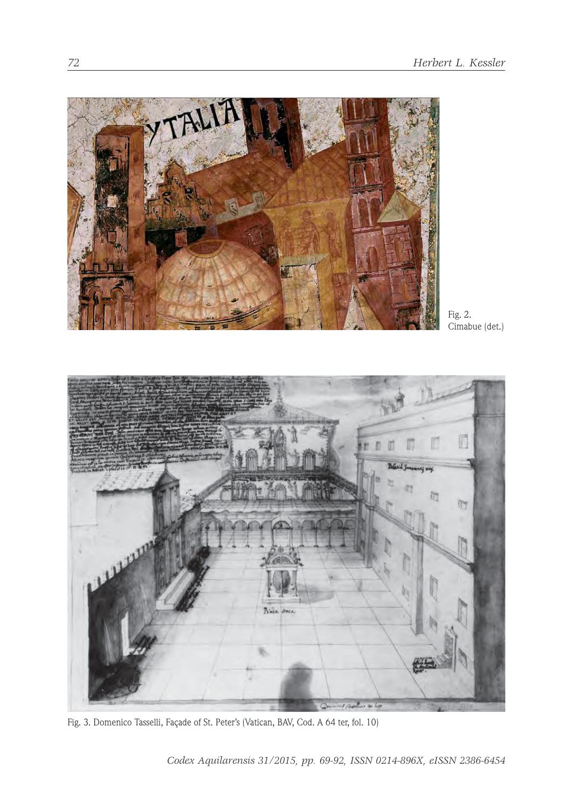

Fig. 2. Cimabue (det.)



Fig. 3. Domenico Tasselli, Façade of St. Peter's (Vatican, BAV, Cod. A 64 ter, fol. 10)

*Codex Aquilarensis 31/2015, pp. 69-92, ISSN 0214-896X, eISSN 2386-6454*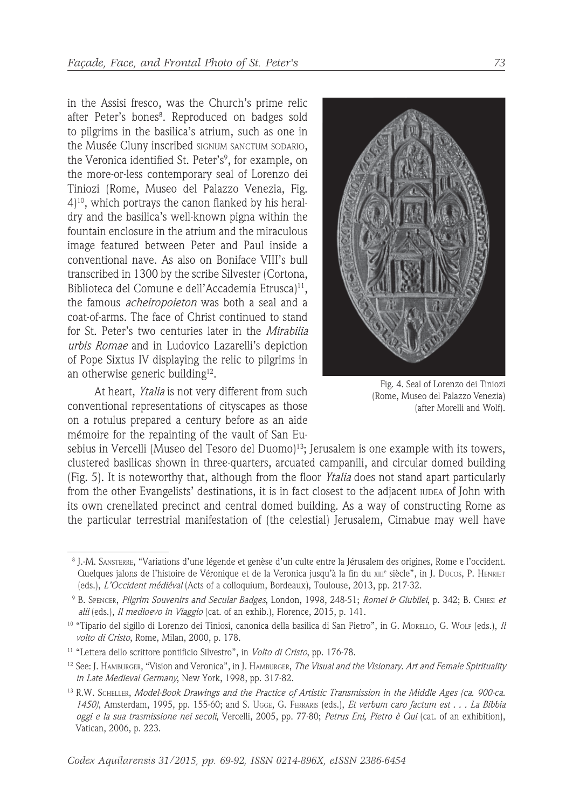in the Assisi fresco, was the Church's prime relic after Peter's bones". Reproduced on badges sold to pilgrims in the basilica's atrium, such as one in the Musée Cluny inscribed SIGNUM SANCTUM SODARIO, the Veronica identified St. Peter's<sup>9</sup>, for example, on the more-or-less contemporary seal of Lorenzo dei Tiniozi (Rome, Museo del Palazzo Venezia, Fig. 4)10, which portrays the canon flanked by his heraldry and the basilica's well-known pigna within the fountain enclosure in the atrium and the miraculous image featured between Peter and Paul inside a conventional nave. As also on Boniface VIII's bull transcribed in 1300 by the scribe Silvester (Cortona, Biblioteca del Comune e dell'Accademia Etrusca)<sup>11</sup>, the famous *acheiropoieton* was both a seal and a coat-of-arms. The face of Christ continued to stand for St. Peter's two centuries later in the *Mirabilia urbis Romae* and in Ludovico Lazarelli's depiction of Pope Sixtus IV displaying the relic to pilgrims in an otherwise generic building<sup>12</sup>.

At heart, *Ytalia* is not very different from such conventional representations of cityscapes as those on a rotulus prepared a century before as an aide mémoire for the repainting of the vault of San Eu-



Fig. 4. Seal of Lorenzo dei Tiniozi (Rome, Museo del Palazzo Venezia) (after Morelli and Wolf).

sebius in Vercelli (Museo del Tesoro del Duomo)<sup>13</sup>; Jerusalem is one example with its towers, clustered basilicas shown in three-quarters, arcuated campanili, and circular domed building (Fig. 5). It is noteworthy that, although from the floor *Ytalia* does not stand apart particularly from the other Evangelists' destinations, it is in fact closest to the adjacent IUDEA of John with its own crenellated precinct and central domed building. As a way of constructing Rome as the particular terrestrial manifestation of (the celestial) Jerusalem, Cimabue may well have

 <sup>8</sup> J.-M. SANSTERRE, "Variations d'une légende et genèse d'un culte entre la Jérusalem des origines, Rome e l'occident. Quelques jalons de l'histoire de Véronique et de la Veronica jusqu'à la fin du x111° siècle", in J. Ducos, P. HENRIET (eds.), *L'Occident médiéval* (Acts of a colloquium, Bordeaux), Toulouse, 2013, pp. 217-32.

 <sup>9</sup> B. SPENCER, *Pilgrim Souvenirs and Secular Badges*, London, 1998, 248-51; *Romei & Giubilei*, p. 342; B. CHIESI *et alii* (eds.), *Il medioevo in Viaggio* (cat. of an exhib.), Florence, 2015, p. 141.

<sup>10 &</sup>quot;Tipario del sigillo di Lorenzo dei Tiniosi, canonica della basilica di San Pietro", in G. MORELLO, G. WOLF (eds.), *Il volto di Cristo*, Rome, Milan, 2000, p. 178.

<sup>11</sup> "Lettera dello scrittore pontificio Silvestro", in *Volto di Cristo*, pp. 176-78.

<sup>12</sup> See: J. HAMBURGER, "Vision and Veronica", in J. HAMBURGER, *The Visual and the Visionary. Art and Female Spirituality in Late Medieval Germany*, New York, 1998, pp. 317-82.

<sup>13</sup> R.W. SCHELLER, *Model-Book Drawings and the Practice of Artistic Transmission in the Middle Ages (ca. 900-ca. 1450)*, Amsterdam, 1995, pp. 155-60; and S. UGGE, G. FERRARIS (eds.), *Et verbum caro factum est . . . La Bibbia oggi e la sua trasmissione nei secoli*, Vercelli, 2005, pp. 77-80; *Petrus Eni, Pietro è Qui* (cat. of an exhibition), Vatican, 2006, p. 223.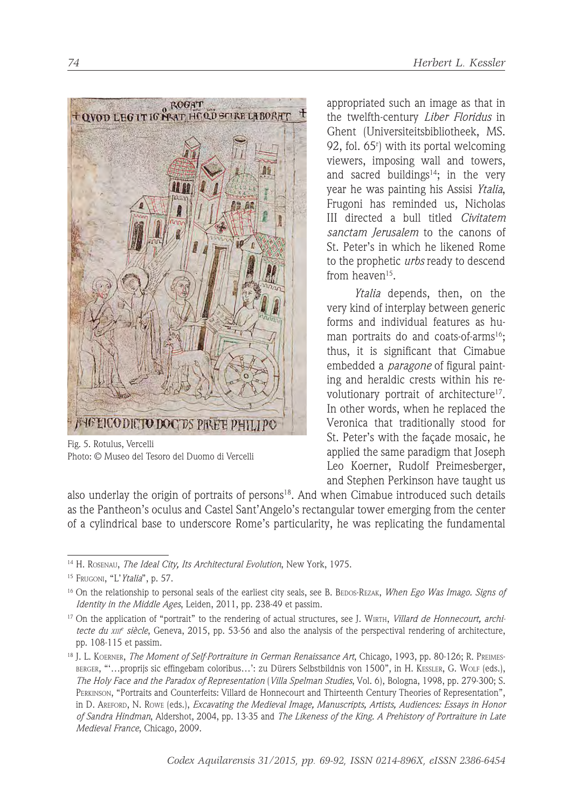

Fig. 5. Rotulus, Vercelli Photo: © Museo del Tesoro del Duomo di Vercelli

appropriated such an image as that in the twelfth-century *Liber Floridus* in Ghent (Universiteitsbibliotheek, MS. 92, fol. 65r ) with its portal welcoming viewers, imposing wall and towers, and sacred buildings $14$ ; in the very year he was painting his Assisi *Ytalia*, Frugoni has reminded us, Nicholas III directed a bull titled *Civitatem sanctam Jerusalem* to the canons of St. Peter's in which he likened Rome to the prophetic *urbs* ready to descend from heaven<sup>15</sup>

*Ytalia* depends, then, on the very kind of interplay between generic forms and individual features as human portraits do and coats-of-arms<sup>16</sup>: thus, it is significant that Cimabue embedded a *paragone* of figural painting and heraldic crests within his revolutionary portrait of architecture<sup>17</sup>. In other words, when he replaced the Veronica that traditionally stood for St. Peter's with the façade mosaic, he applied the same paradigm that Joseph Leo Koerner, Rudolf Preimesberger, and Stephen Perkinson have taught us

also underlay the origin of portraits of persons $18$ . And when Cimabue introduced such details as the Pantheon's oculus and Castel Sant'Angelo's rectangular tower emerging from the center of a cylindrical base to underscore Rome's particularity, he was replicating the fundamental

<sup>14</sup> H. ROSENAU, *The Ideal City, Its Architectural Evolution*, New York, 1975.

<sup>15</sup> FRUGONI, "L'*Ytalia*", p. 57.

<sup>16</sup> On the relationship to personal seals of the earliest city seals, see B. BEDOS-REZAK, *When Ego Was Imago. Signs of Identity in the Middle Ages*, Leiden, 2011, pp. 238-49 et passim.

<sup>17</sup> On the application of "portrait" to the rendering of actual structures, see J. WIRTH, *Villard de Honnecourt, architecte du XIII<sup>e</sup> siècle*, Geneva, 2015, pp. 53-56 and also the analysis of the perspectival rendering of architecture, pp. 108-115 et passim.

<sup>18</sup> J. L. KOERNER, *The Moment of Self-Portraiture in German Renaissance Art*, Chicago, 1993, pp. 80-126; R. PREIMES-BERGER, "'…proprijs sic effingebam coloribus…': zu Dürers Selbstbildnis von 1500", in H. KESSLER, G. WOLF (eds.), *The Holy Face and the Paradox of Representation* (*Villa Spelman Studies*, Vol. 6), Bologna, 1998, pp. 279-300; S. PERKINSON, "Portraits and Counterfeits: Villard de Honnecourt and Thirteenth Century Theories of Representation", in D. AREFORD, N. ROWE (eds.), *Excavating the Medieval Image, Manuscripts, Artists, Audiences: Essays in Honor of Sandra Hindman*, Aldershot, 2004, pp. 13-35 and *The Likeness of the King. A Prehistory of Portraiture in Late Medieval France*, Chicago, 2009.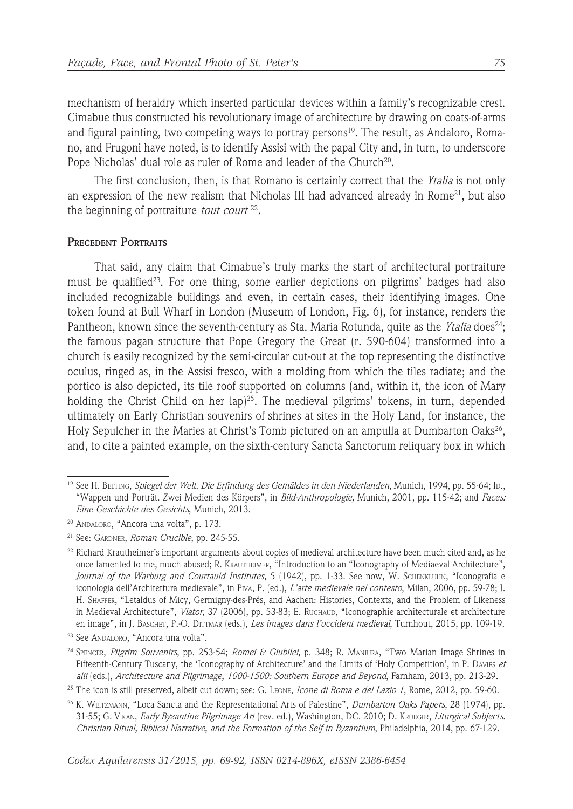mechanism of heraldry which inserted particular devices within a family's recognizable crest. Cimabue thus constructed his revolutionary image of architecture by drawing on coats-of-arms and figural painting, two competing ways to portray persons $19$ . The result, as Andaloro, Romano, and Frugoni have noted, is to identify Assisi with the papal City and, in turn, to underscore Pope Nicholas' dual role as ruler of Rome and leader of the Church<sup>20</sup>.

The first conclusion, then, is that Romano is certainly correct that the *Ytalia* is not only an expression of the new realism that Nicholas III had advanced already in Rome<sup>21</sup>, but also the beginning of portraiture *tout court* <sup>22</sup>*.*

## **PRECEDENT PORTRAITS**

That said, any claim that Cimabue's truly marks the start of architectural portraiture must be qualified<sup>23</sup>. For one thing, some earlier depictions on pilgrims' badges had also included recognizable buildings and even, in certain cases, their identifying images. One token found at Bull Wharf in London (Museum of London, Fig. 6), for instance, renders the Pantheon, known since the seventh-century as Sta. Maria Rotunda, quite as the *Ytalia* does<sup>24</sup>; the famous pagan structure that Pope Gregory the Great (r. 590-604) transformed into a church is easily recognized by the semi-circular cut-out at the top representing the distinctive oculus, ringed as, in the Assisi fresco, with a molding from which the tiles radiate; and the portico is also depicted, its tile roof supported on columns (and, within it, the icon of Mary holding the Christ Child on her lap)<sup>25</sup>. The medieval pilgrims' tokens, in turn, depended ultimately on Early Christian souvenirs of shrines at sites in the Holy Land, for instance, the Holy Sepulcher in the Maries at Christ's Tomb pictured on an ampulla at Dumbarton Oaks<sup>26</sup>, and, to cite a painted example, on the sixth-century Sancta Sanctorum reliquary box in which

<sup>19</sup> See H. BELTING, *Spiegel der Welt. Die Erfindung des Gemäldes in den Niederlanden*, Munich, 1994, pp. 55-64; ID., "Wappen und Porträt. Zwei Medien des Körpers", in *Bild-Anthropologie,* Munich, 2001, pp. 115-42; and *Faces: Eine Geschichte des Gesichts*, Munich, 2013.

<sup>20</sup> ANDALORO, "Ancora una volta", p. 173.

<sup>21</sup> See: GARDNER, *Roman Crucible*, pp. 245-55.

<sup>&</sup>lt;sup>22</sup> Richard Krautheimer's important arguments about copies of medieval architecture have been much cited and, as he once lamented to me, much abused; R. KRAUTHEIMER, "Introduction to an "Iconography of Mediaeval Architecture", *Journal of the Warburg and Courtauld Institutes*, 5 (1942), pp. 1-33. See now, W. SCHENKLUHN, "Iconografia e iconologia dell'Architettura medievale", in PIVA, P. (ed.), *L'arte medievale nel contesto*, Milan, 2006, pp. 59-78; J. H. SHAFFER, "Letaldus of Micy, Germigny-des-Prés, and Aachen: Histories, Contexts, and the Problem of Likeness in Medieval Architecture", *Viator*, 37 (2006), pp. 53-83; E. RUCHAUD, "Iconographie architecturale et architecture en image", in J. BASCHET, P.-O. DITTMAR (eds.), *Les images dans l'occident medieval*, Turnhout, 2015, pp. 109-19.

<sup>23</sup> See ANDALORO, "Ancora una volta".

<sup>24</sup> SPENCER, *Pilgrim Souvenirs*, pp. 253-54; *Romei & Giubilei*, p. 348; R. MANIURA, "Two Marian Image Shrines in Fifteenth-Century Tuscany, the 'Iconography of Architecture' and the Limits of 'Holy Competition', in P. DAVIES *et alii* (eds.), *Architecture and Pilgrimage, 1000-1500: Southern Europe and Beyond*, Farnham, 2013, pp. 213-29.

<sup>25</sup> The icon is still preserved, albeit cut down; see: G. LEONE, *Icone di Roma e del Lazio 1*, Rome, 2012, pp. 59-60.

<sup>26</sup> K. WEITZMANN, "Loca Sancta and the Representational Arts of Palestine", *Dumbarton Oaks Papers*, 28 (1974), pp. 31-55; G. VIKAN, *Early Byzantine Pilgrimage Art* (rev. ed.), Washington, DC. 2010; D. KRUEGER, *Liturgical Subjects. Christian Ritual, Biblical Narrative, and the Formation of the Self in Byzantium*, Philadelphia, 2014, pp. 67-129.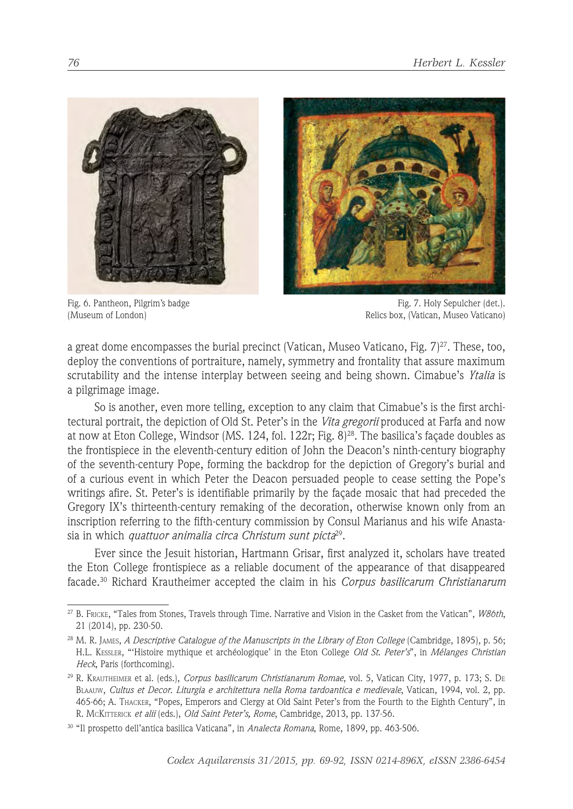



Fig. 6. Pantheon, Pilgrim's badge (Museum of London)

Fig. 7. Holy Sepulcher (det.). Relics box, (Vatican, Museo Vaticano)

a great dome encompasses the burial precinct (Vatican, Museo Vaticano, Fig. 7) $^{27}$ . These, too, deploy the conventions of portraiture, namely, symmetry and frontality that assure maximum scrutability and the intense interplay between seeing and being shown. Cimabue's *Ytalia* is a pilgrimage image.

So is another, even more telling, exception to any claim that Cimabue's is the first architectural portrait, the depiction of Old St. Peter's in the *Vita gregorii* produced at Farfa and now at now at Eton College, Windsor (MS. 124, fol. 122r; Fig. 8)28. The basilica's façade doubles as the frontispiece in the eleventh-century edition of John the Deacon's ninth-century biography of the seventh-century Pope, forming the backdrop for the depiction of Gregory's burial and of a curious event in which Peter the Deacon persuaded people to cease setting the Pope's writings afire. St. Peter's is identifiable primarily by the façade mosaic that had preceded the Gregory IX's thirteenth-century remaking of the decoration, otherwise known only from an inscription referring to the fifth-century commission by Consul Marianus and his wife Anastasia in which *quattuor animalia circa Christum sunt picta*29.

Ever since the Jesuit historian, Hartmann Grisar, first analyzed it, scholars have treated the Eton College frontispiece as a reliable document of the appearance of that disappeared facade. 30 Richard Krautheimer accepted the claim in his *Corpus basilicarum Christianarum* 

<sup>27</sup> B. FRICKE, "Tales from Stones, Travels through Time. Narrative and Vision in the Casket from the Vatican", *W86th*, 21 (2014), pp. 230-50.

<sup>&</sup>lt;sup>28</sup> M. R. JAMES, *A Descriptive Catalogue of the Manuscripts in the Library of Eton College* (Cambridge, 1895), p. 56; H.L. KESSLER, "'Histoire mythique et archéologique' in the Eton College *Old St. Peter's*", in *Mélanges Christian Heck*, Paris (forthcoming).

<sup>29</sup> R. KRAUTHEIMER et al. (eds.), *Corpus basilicarum Christianarum Romae*, vol. 5, Vatican City, 1977, p. 173; S. DE BLAAUW, *Cultus et Decor. Liturgia e architettura nella Roma tardoantica e medievale*, Vatican, 1994, vol. 2, pp. 465-66; A. THACKER, "Popes, Emperors and Clergy at Old Saint Peter's from the Fourth to the Eighth Century", in R. MCKITTERICK *et alii* (eds.), *Old Saint Peter's, Rome*, Cambridge, 2013, pp. 137-56.

<sup>30</sup> "Il prospetto dell'antica basilica Vaticana", in *Analecta Romana*, Rome, 1899, pp. 463-506.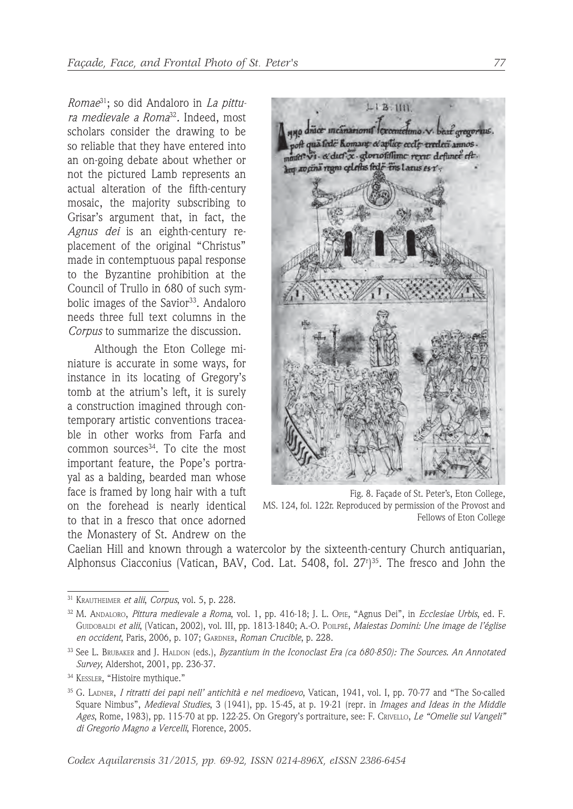*Romae*31; so did Andaloro in *La pittura medievale a Roma*<sup>32</sup>*.* Indeed, most scholars consider the drawing to be so reliable that they have entered into an on-going debate about whether or not the pictured Lamb represents an actual alteration of the fifth-century mosaic, the majority subscribing to Grisar's argument that, in fact, the *Agnus dei* is an eighth-century replacement of the original "Christus" made in contemptuous papal response to the Byzantine prohibition at the Council of Trullo in 680 of such symbolic images of the Savior<sup>33</sup>. Andaloro needs three full text columns in the *Corpus* to summarize the discussion.

Although the Eton College miniature is accurate in some ways, for instance in its locating of Gregory's tomb at the atrium's left, it is surely a construction imagined through contemporary artistic conventions traceable in other works from Farfa and common sources<sup>34</sup>. To cite the most important feature, the Pope's portrayal as a balding, bearded man whose face is framed by long hair with a tuft on the forehead is nearly identical to that in a fresco that once adorned the Monastery of St. Andrew on the



Fig. 8. Façade of St. Peter's, Eton College, MS. 124, fol. 122r. Reproduced by permission of the Provost and Fellows of Eton College

Caelian Hill and known through a watercolor by the sixteenth-century Church antiquarian, Alphonsus Ciacconius (Vatican, BAV, Cod. Lat. 5408, fol. 27r ) 35. The fresco and John the

<sup>31</sup> KRAUTHEIMER *et alii*, *Corpus*, vol. 5, p. 228.

<sup>32</sup> M. ANDALORO, *Pittura medievale a Roma*, vol. 1, pp. 416-18; J. L. OPIE, "Agnus Dei", in *Ecclesiae Urbis*, ed. F. GUIDOBALDI *et alii*, (Vatican, 2002), vol. III, pp. 1813-1840; A.-O. POILPRÉ, *Maiestas Domini: Une image de l'église en occident*, Paris, 2006, p. 107; GARDNER, *Roman Crucible*, p. 228.

<sup>33</sup> See L. BRUBAKER and J. HALDON (eds.), *Byzantium in the Iconoclast Era (ca 680-850): The Sources. An Annotated Survey*, Aldershot, 2001, pp. 236-37.

<sup>34</sup> KESSLER, "Histoire mythique."

<sup>35</sup> G. LADNER, *I ritratti dei papi nell' antichità e nel medioevo*, Vatican, 1941, vol. I, pp. 70-77 and "The So-called Square Nimbus", *Medieval Studies*, 3 (1941), pp. 15-45, at p. 19-21 (repr. in *Images and Ideas in the Middle Ages*, Rome, 1983), pp. 115-70 at pp. 122-25. On Gregory's portraiture, see: F. CRIVELLO, *Le "Omelie sul Vangeli" di Gregorio Magno a Vercelli*, Florence, 2005.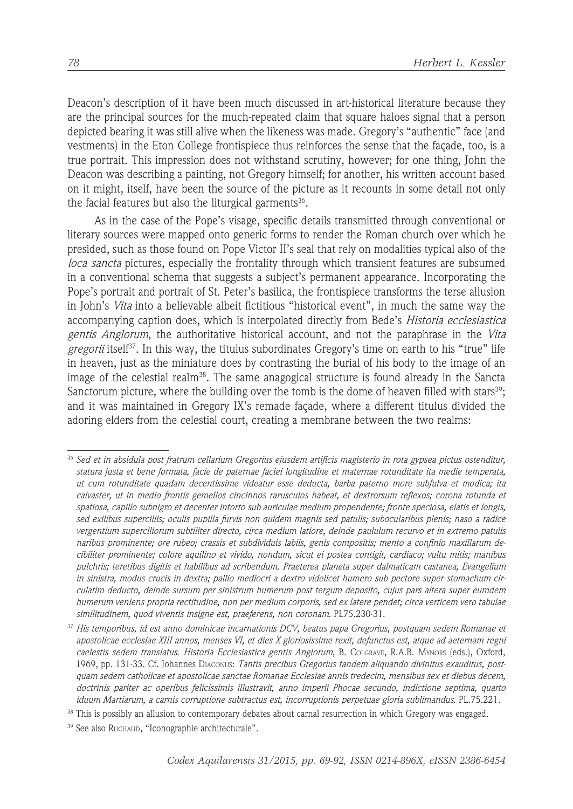Deacon's description of it have been much discussed in art-historical literature because they are the principal sources for the much-repeated claim that square haloes signal that a person depicted bearing it was still alive when the likeness was made. Gregory's "authentic" face (and vestments) in the Eton College frontispiece thus reinforces the sense that the façade, too, is a true portrait. This impression does not withstand scrutiny, however; for one thing, John the Deacon was describing a painting, not Gregory himself; for another, his written account based on it might, itself, have been the source of the picture as it recounts in some detail not only the facial features but also the liturgical garments $36$ .

As in the case of the Pope's visage, specific details transmitted through conventional or literary sources were mapped onto generic forms to render the Roman church over which he presided, such as those found on Pope Victor II's seal that rely on modalities typical also of the *loca sancta* pictures, especially the frontality through which transient features are subsumed in a conventional schema that suggests a subject's permanent appearance. Incorporating the Pope's portrait and portrait of St. Peter's basilica, the frontispiece transforms the terse allusion in John's *Vita* into a believable albeit fictitious "historical event", in much the same way the accompanying caption does, which is interpolated directly from Bede's *Historia ecclesiastica gentis Anglorum*, the authoritative historical account, and not the paraphrase in the *Vita gregorii* itself37. In this way, the titulus subordinates Gregory's time on earth to his "true" life in heaven, just as the miniature does by contrasting the burial of his body to the image of an image of the celestial realm<sup>38</sup>. The same anagogical structure is found already in the Sancta Sanctorum picture, where the building over the tomb is the dome of heaven filled with stars<sup>39</sup>; and it was maintained in Gregory IX's remade façade, where a different titulus divided the adoring elders from the celestial court, creating a membrane between the two realms:

<sup>36</sup> *Sed et in absidula post fratrum cellarium Gregorius ejusdem artificis magisterio in rota gypsea pictus ostenditur, statura justa et bene formata, facie de paternae faciei longitudine et maternae rotunditate ita medie temperata, ut cum rotunditate quadam decentissime videatur esse deducta, barba paterno more subfulva et modica; ita calvaster, ut in medio frontis gemellos cincinnos rarusculos habeat, et dextrorsum reflexos; corona rotunda et spatiosa, capillo subnigro et decenter intorto sub auriculae medium propendente; fronte speciosa, elatis et longis, sed exilibus superciliis; oculis pupilla furvis non quidem magnis sed patulis; subocularibus plenis; naso a radice vergentium superciliorum subtiliter directo, circa medium latiore, deinde paululum recurvo et in extremo patulis naribus prominente; ore rubeo; crassis et subdividuis labiis, genis compositis; mento a confinio maxillarum decibiliter prominente; colore aquilino et vivido, nondum, sicut ei postea contigit, cardiaco; vultu mitis; manibus pulchris; teretibus digitis et habilibus ad scribendum. Praeterea planeta super dalmaticam castanea, Evangelium in sinistra, modus crucis in dextra; pallio mediocri a dextro videlicet humero sub pectore super stomachum circulatim deducto, deinde sursum per sinistrum humerum post tergum deposito, cujus pars altera super eumdem humerum veniens propria rectitudine, non per medium corporis, sed ex latere pendet; circa verticem vero tabulae similitudinem, quod viventis insigne est, praeferens, non coronam*. PL75.230-31.

<sup>37</sup> *His temporibus, id est anno dominicae incarnationis DCV, beatus papa Gregorius, postquam sedem Romanae et apostolicae ecclesiae XIII annos, menses VI, et dies X gloriosissime rexit, defunctus est, atque ad aeternam regni caelestis sedem translatus*. *Historia Ecclesiastica gentis Anglorum*, B. COLGRAVE, R.A.B. MYNORS (eds.), Oxford, 1969, pp. 131-33. Cf. Johannes DIACONUS: *Tantis precibus Gregorius tandem aliquando divinitus exauditus, postquam sedem catholicae et apostolicae sanctae Romanae Ecclesiae annis tredecim, mensibus sex et diebus decem, doctrinis pariter ac operibus felicissimis illustravit, anno imperii Phocae secundo, indictione septima, quarto iduum Martiarum, a carnis corruptione subtractus est, incorruptionis perpetuae gloria sublimandus*. PL.75.221.

<sup>&</sup>lt;sup>38</sup> This is possibly an allusion to contemporary debates about carnal resurrection in which Gregory was engaged.

<sup>39</sup> See also RUCHAUD, "Iconographie architecturale".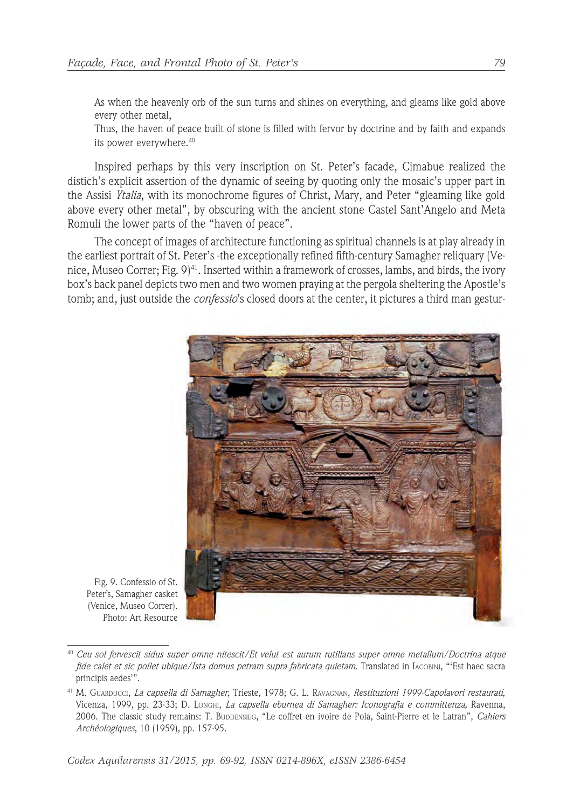As when the heavenly orb of the sun turns and shines on everything, and gleams like gold above every other metal,

Thus, the haven of peace built of stone is filled with fervor by doctrine and by faith and expands its power everywhere. 40

Inspired perhaps by this very inscription on St. Peter's facade, Cimabue realized the distich's explicit assertion of the dynamic of seeing by quoting only the mosaic's upper part in the Assisi *Ytalia*, with its monochrome figures of Christ, Mary, and Peter "gleaming like gold above every other metal", by obscuring with the ancient stone Castel Sant'Angelo and Meta Romuli the lower parts of the "haven of peace".

The concept of images of architecture functioning as spiritual channels is at play already in the earliest portrait of St. Peter's -the exceptionally refined fifth-century Samagher reliquary (Venice, Museo Correr; Fig. 9)41. Inserted within a framework of crosses, lambs, and birds, the ivory box's back panel depicts two men and two women praying at the pergola sheltering the Apostle's tomb; and, just outside the *confessio*'s closed doors at the center, it pictures a third man gestur-



Fig. 9. Confessio of St. Peter's, Samagher casket (Venice, Museo Correr). iice, Museo Correr).<br>Photo: Art Resource

<sup>40</sup> *Ceu sol fervescit sidus super omne nitescit/Et velut est aurum rutillans super omne metallum/Doctrina atque fide calet et sic pollet ubique/Ista domus petram supra fabricata quietam*. Translated in IACOBINI, "'Est haec sacra principis aedes'".

<sup>41</sup> M. GUARDUCCI, *La capsella di Samagher*, Trieste, 1978; G. L. RAVAGNAN, *Restituzioni 1999-Capolavori restaurati*, Vicenza, 1999, pp. 23-33; D. LONGHI, *La capsella eburnea di Samagher: Iconografia e committenza,* Ravenna, 2006. The classic study remains: T. BUDDENSIEG, "Le coffret en ivoire de Pola, Saint-Pierre et le Latran", *Cahiers Archéologiques*, 10 (1959), pp. 157-95.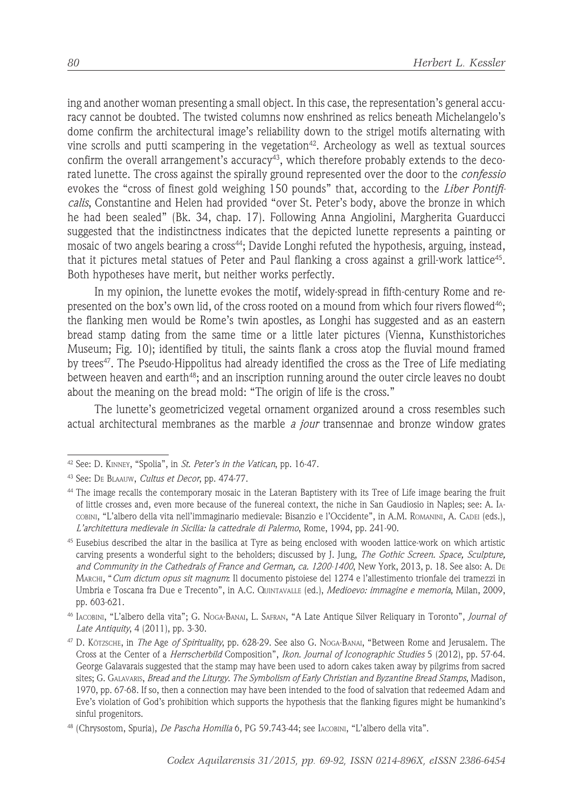ing and another woman presenting a small object. In this case, the representation's general accuracy cannot be doubted. The twisted columns now enshrined as relics beneath Michelangelo's dome confirm the architectural image's reliability down to the strigel motifs alternating with vine scrolls and putti scampering in the vegetation<sup>42</sup>. Archeology as well as textual sources confirm the overall arrangement's accuracy<sup>43</sup>, which therefore probably extends to the decorated lunette. The cross against the spirally ground represented over the door to the *confessio*  evokes the "cross of finest gold weighing 150 pounds" that, according to the *Liber Pontificalis*, Constantine and Helen had provided "over St. Peter's body, above the bronze in which he had been sealed" (Bk. 34, chap. 17). Following Anna Angiolini, Margherita Guarducci suggested that the indistinctness indicates that the depicted lunette represents a painting or mosaic of two angels bearing a cross<sup>44</sup>; Davide Longhi refuted the hypothesis, arguing, instead, that it pictures metal statues of Peter and Paul flanking a cross against a grill-work lattice45. Both hypotheses have merit, but neither works perfectly.

In my opinion, the lunette evokes the motif, widely-spread in fifth-century Rome and represented on the box's own lid, of the cross rooted on a mound from which four rivers flowed46; the flanking men would be Rome's twin apostles, as Longhi has suggested and as an eastern bread stamp dating from the same time or a little later pictures (Vienna, Kunsthistoriches Museum; Fig. 10); identified by tituli, the saints flank a cross atop the fluvial mound framed by trees<sup>47</sup>. The Pseudo-Hippolitus had already identified the cross as the Tree of Life mediating between heaven and earth<sup>48</sup>; and an inscription running around the outer circle leaves no doubt about the meaning on the bread mold: "The origin of life is the cross."

The lunette's geometricized vegetal ornament organized around a cross resembles such actual architectural membranes as the marble *a jour* transennae and bronze window grates

<sup>42</sup> See: D. KINNEY, "Spolia", in *St. Peter's in the Vatican*, pp. 16-47.

<sup>43</sup> See: DE BLAAUW, *Cultus et Decor*, pp. 474-77.

<sup>44</sup> The image recalls the contemporary mosaic in the Lateran Baptistery with its Tree of Life image bearing the fruit of little crosses and, even more because of the funereal context, the niche in San Gaudiosio in Naples; see: A. IA-COBINI, "L'albero della vita nell'immaginario medievale: Bisanzio e l'Occidente", in A.M. ROMANINI, A. CADEI (eds.), *L'architettura medievale in Sicilia: la cattedrale di Palermo*, Rome, 1994, pp. 241-90.

<sup>45</sup> Eusebius described the altar in the basilica at Tyre as being enclosed with wooden lattice-work on which artistic carving presents a wonderful sight to the beholders; discussed by J. Jung, *The Gothic Screen. Space, Sculpture, and Community in the Cathedrals of France and German, ca. 1200-1400*, New York, 2013, p. 18. See also: A. DE MARCHI, "*Cum dictum opus sit magnum*: Il documento pistoiese del 1274 e l'allestimento trionfale dei tramezzi in Umbria e Toscana fra Due e Trecento", in A.C. QUINTAVALLE (ed.), *Medioevo: immagine e memoria*, Milan, 2009, pp. 603-621.

<sup>46</sup> IACOBINI, "L'albero della vita"; G. NOGA-BANAI, L. SAFRAN, "A Late Antique Silver Reliquary in Toronto", *Journal of Late Antiquity*, 4 (2011), pp. 3-30.

<sup>47</sup> D. KÖTZSCHE, in *The* Age *of Spirituality*, pp. 628-29. See also G. NOGA-BANAI, "Between Rome and Jerusalem. The Cross at the Center of a *Herrscherbild* Composition", *Ikon. Journal of Iconographic Studies* 5 (2012), pp. 57-64. George Galavarais suggested that the stamp may have been used to adorn cakes taken away by pilgrims from sacred sites; G. GALAVARIS, *Bread and the Liturgy. The Symbolism of Early Christian and Byzantine Bread Stamps*, Madison, 1970, pp. 67-68. If so, then a connection may have been intended to the food of salvation that redeemed Adam and Eve's violation of God's prohibition which supports the hypothesis that the flanking figures might be humankind's sinful progenitors.

<sup>48 (</sup>Chrysostom, Spuria), *De Pascha Homilia* 6, PG 59.743-44; see IACOBINI, "L'albero della vita".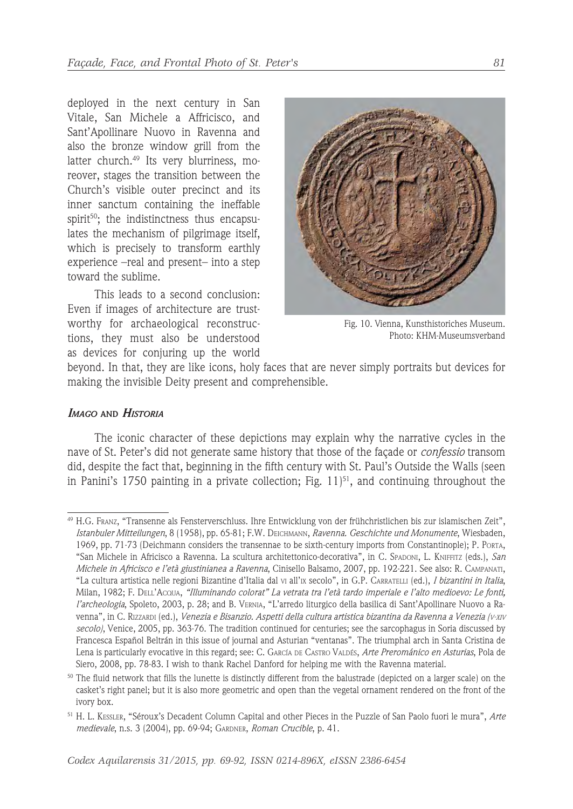deployed in the next century in San Vitale, San Michele a Affricisco, and Sant'Apollinare Nuovo in Ravenna and also the bronze window grill from the latter church.<sup>49</sup> Its very blurriness, moreover, stages the transition between the Church's visible outer precinct and its inner sanctum containing the ineffable spirit<sup>50</sup>; the indistinctness thus encapsulates the mechanism of pilgrimage itself, which is precisely to transform earthly experience –real and present– into a step toward the sublime.

This leads to a second conclusion: Even if images of architecture are trustworthy for archaeological reconstructions, they must also be understood as devices for conjuring up the world



Fig. 10. Vienna, Kunsthistoriches Museum. Photo: KHM-Museumsverband

beyond. In that, they are like icons, holy faces that are never simply portraits but devices for making the invisible Deity present and comprehensible.

## *IMAGO* **AND** *HISTORIA*

The iconic character of these depictions may explain why the narrative cycles in the nave of St. Peter's did not generate same history that those of the façade or *confessio* transom did, despite the fact that, beginning in the fifth century with St. Paul's Outside the Walls (seen in Panini's 1750 painting in a private collection; Fig.  $11$ <sup>51</sup>, and continuing throughout the

<sup>49</sup> H.G. FRANZ, "Transenne als Fensterverschluss. Ihre Entwicklung von der frühchristlichen bis zur islamischen Zeit", *Istanbuler Mitteilungen*, 8 (1958), pp. 65-81; F.W. DEICHMANN, *Ravenna. Geschichte und Monumente*, Wiesbaden, 1969, pp. 71-73 (Deichmann considers the transennae to be sixth-century imports from Constantinople); P. PORTA, "San Michele in Africisco a Ravenna. La scultura architettonico-decorativa", in C. SPADONI, L. KNIFFITZ (eds.), *San Michele in Africisco e l'età giustinianea a Ravenna*, Cinisello Balsamo, 2007, pp. 192-221. See also: R. CAMPANATI, "La cultura artistica nelle regioni Bizantine d'Italia dal VI all'IX secolo", in G.P. CARRATELLI (ed.), *I bizantini in Italia*, Milan, 1982; F. DELL'ACQUA, *"Illuminando colorat" La vetrata tra l'età tardo imperiale e l'alto medioevo: Le fonti, l'archeologia*, Spoleto, 2003, p. 28; and B. VERNIA, "L'arredo liturgico della basilica di Sant'Apollinare Nuovo a Ravenna", in C. RIZZARDI (ed.), *Venezia e Bisanzio. Aspetti della cultura artistica bizantina da Ravenna a Venezia (V-XIV secolo)*, Venice, 2005, pp. 363-76. The tradition continued for centuries; see the sarcophagus in Soria discussed by Francesca Español Beltrán in this issue of journal and Asturian "ventanas". The triumphal arch in Santa Cristina de Lena is particularly evocative in this regard; see: C. GARCÍA DE CASTRO VALDÉS, *Arte Prerománico en Asturias*, Pola de Siero, 2008, pp. 78-83. I wish to thank Rachel Danford for helping me with the Ravenna material.

<sup>&</sup>lt;sup>50</sup> The fluid network that fills the lunette is distinctly different from the balustrade (depicted on a larger scale) on the casket's right panel; but it is also more geometric and open than the vegetal ornament rendered on the front of the ivory box.

<sup>51</sup> H. L. KESSLER, "Séroux's Decadent Column Capital and other Pieces in the Puzzle of San Paolo fuori le mura", *Arte medievale*, n.s. 3 (2004), pp. 69-94; GARDNER, *Roman Crucible*, p. 41.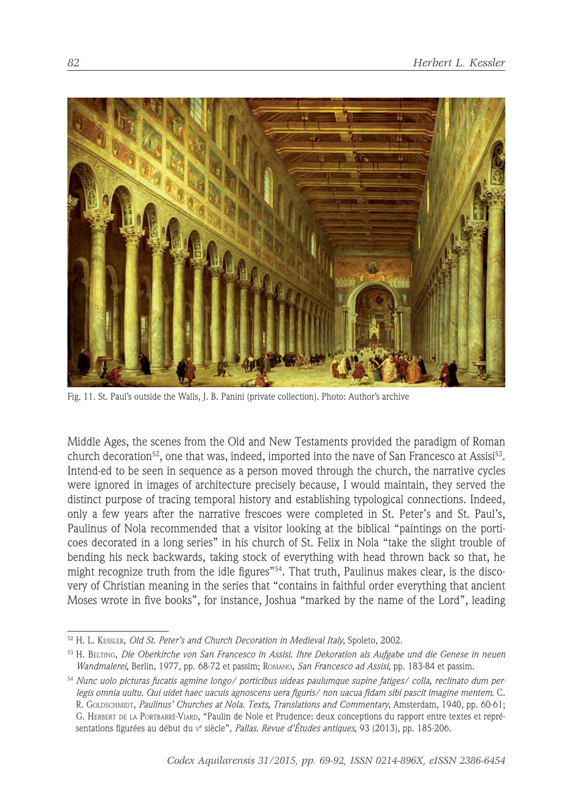

Fig. 11. St. Paul's outside the Walls, J. B. Panini (private collection). Photo: Author's archive

Middle Ages, the scenes from the Old and New Testaments provided the paradigm of Roman church decoration<sup>52</sup>, one that was, indeed, imported into the nave of San Francesco at Assisi<sup>53</sup>. Intend-ed to be seen in sequence as a person moved through the church, the narrative cycles were ignored in images of architecture precisely because, I would maintain, they served the distinct purpose of tracing temporal history and establishing typological connections. Indeed, only a few years after the narrative frescoes were completed in St. Peter's and St. Paul's, Paulinus of Nola recommended that a visitor looking at the biblical "paintings on the porticoes decorated in a long series" in his church of St. Felix in Nola "take the slight trouble of bending his neck backwards, taking stock of everything with head thrown back so that, he might recognize truth from the idle figures"<sup>54</sup>. That truth, Paulinus makes clear, is the discovery of Christian meaning in the series that "contains in faithful order everything that ancient Moses wrote in five books", for instance, Joshua "marked by the name of the Lord", leading

<sup>52</sup> H. L. KESSLER, *Old St. Peter's and Church Decoration in Medieval Italy*, Spoleto, 2002.

<sup>53</sup> H. BELTING, *Die Oberkirche von San Francesco in Assisi. Ihre Dekoration als Aufgabe und die Genese in neuen Wandmalerei*, Berlin, 1977, pp. 68-72 et passim; ROMANO, *San Francesco ad Assisi*, pp. 183-84 et passim.

<sup>54</sup> *Nunc uolo picturas fucatis agmine longo/ porticibus uideas paulumque supine fatiges/ colla, reclinato dum perlegis omnia uultu. Qui uidet haec uacuis agnoscens uera figuris/ non uacua fidam sibi pascit imagine mentem*. C. R. GOLDSCHMIDT, *Paulinus' Churches at Nola. Texts, Translations and Commentary*, Amsterdam, 1940, pp. 60-61; G. HERBERT DE LA PORTBARRÉ-VIARD, "Paulin de Nole et Prudence: deux conceptions du rapport entre textes et représentations figurées au début du v<sup>e</sup> siècle"*, Pallas. Revue d'Etudes antiques*, 93 (2013), pp. 185-206.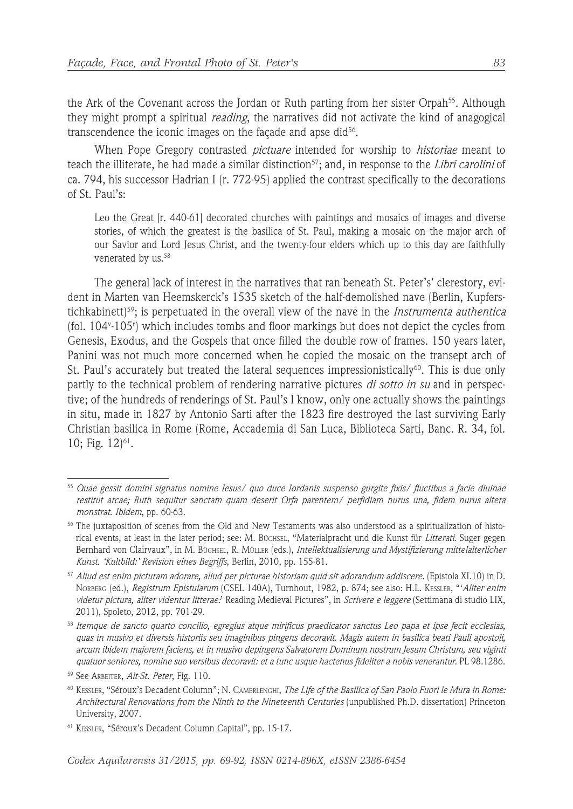the Ark of the Covenant across the Jordan or Ruth parting from her sister Orpah<sup>55</sup>. Although they might prompt a spiritual *reading*, the narratives did not activate the kind of anagogical transcendence the iconic images on the façade and apse did $56$ .

When Pope Gregory contrasted *pictuare* intended for worship to *historiae* meant to teach the illiterate, he had made a similar distinction<sup>57</sup>; and, in response to the *Libri carolini* of ca. 794, his successor Hadrian I (r. 772-95) applied the contrast specifically to the decorations of St. Paul's:

Leo the Great [r. 440-61] decorated churches with paintings and mosaics of images and diverse stories, of which the greatest is the basilica of St. Paul, making a mosaic on the major arch of our Savior and Lord Jesus Christ, and the twenty-four elders which up to this day are faithfully venerated by us.<sup>58</sup>

The general lack of interest in the narratives that ran beneath St. Peter's' clerestory, evident in Marten van Heemskerck's 1535 sketch of the half-demolished nave (Berlin, Kupferstichkabinett)59; is perpetuated in the overall view of the nave in the *Instrumenta authentica* (fol. 104v -105r ) which includes tombs and floor markings but does not depict the cycles from Genesis, Exodus, and the Gospels that once filled the double row of frames. 150 years later, Panini was not much more concerned when he copied the mosaic on the transept arch of St. Paul's accurately but treated the lateral sequences impressionistically<sup>60</sup>. This is due only partly to the technical problem of rendering narrative pictures *di sotto in su* and in perspective; of the hundreds of renderings of St. Paul's I know, only one actually shows the paintings in situ, made in 1827 by Antonio Sarti after the 1823 fire destroyed the last surviving Early Christian basilica in Rome (Rome, Accademia di San Luca, Biblioteca Sarti, Banc. R. 34, fol. 10; Fig.  $12$ <sup> $61$ </sup>.

<sup>55</sup> *Quae gessit domini signatus nomine Iesus/ quo duce Iordanis suspenso gurgite fixis/ fluctibus a facie diuinae restitut arcae; Ruth sequitur sanctam quam deserit Orfa parentem/ perfidiam nurus una, fidem nurus altera monstrat*. *Ibidem*, pp. 60-63.

<sup>56</sup> The juxtaposition of scenes from the Old and New Testaments was also understood as a spiritualization of historical events, at least in the later period; see: M. BÜCHSEL, "Materialpracht und die Kunst für *Litterati*. Suger gegen Bernhard von Clairvaux", in M. BÜCHSEL, R. MÜLLER (eds.), *Intellektualisierung und Mystifizierung mittelalterlicher Kunst. 'Kultbild:' Revision eines Begriffs*, Berlin, 2010, pp. 155-81.

<sup>57</sup> *Aliud est enim picturam adorare, aliud per picturae historiam quid sit adorandum addiscere.* (Epistola XI.10) in D. NORBERG (ed.), *Registrum Epistularum* (CSEL 140A), Turnhout, 1982, p. 874; see also: H.L. KESSLER, "'*Aliter enim videtur pictura, aliter videntur litterae:*' Reading Medieval Pictures", in *Scrivere e leggere* (Settimana di studio LIX, 2011), Spoleto, 2012, pp. 701-29.

<sup>58</sup> *Itemque de sancto quarto concilio, egregius atque mirificus praedicator sanctus Leo papa et ipse fecit ecclesias, quas in musivo et diversis historiis seu imaginibus pingens decoravit. Magis autem in basilica beati Pauli apostoli, arcum ibidem majorem faciens, et in musivo depingens Salvatorem Dominum nostrum Jesum Christum, seu viginti quatuor seniores, nomine suo versibus decoravit: et a tunc usque hactenus fideliter a nobis venerantur*. PL 98.1286.

<sup>59</sup> See ARBEITER, *Alt-St. Peter*, Fig. 110.

<sup>60</sup> KESSLER, "Séroux's Decadent Column"; N. CAMERLENGHI, *The Life of the Basilica of San Paolo Fuori le Mura in Rome: Architectural Renovations from the Ninth to the Nineteenth Centuries* (unpublished Ph.D. dissertation) Princeton University, 2007.

<sup>61</sup> KESSLER, "Séroux's Decadent Column Capital", pp. 15-17.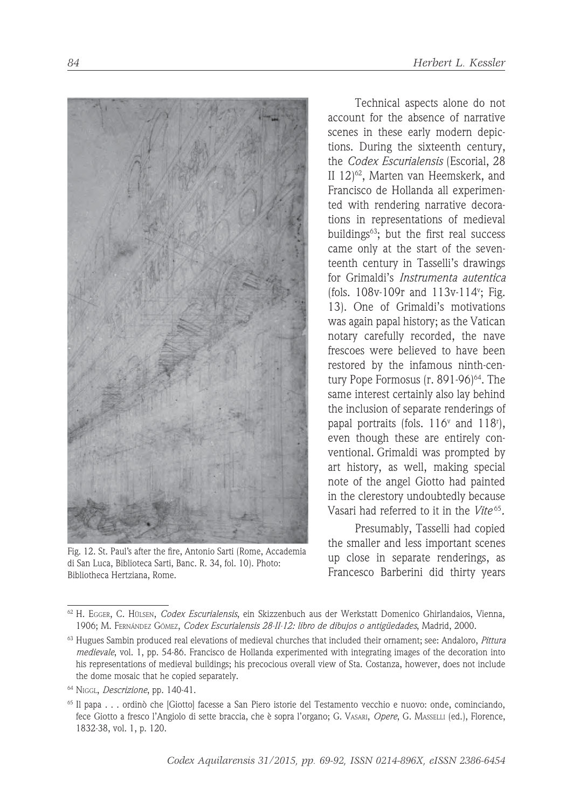

Fig. 12. St. Paul's after the fire, Antonio Sarti (Rome, Accademia di San Luca, Biblioteca Sarti, Banc. R. 34, fol. 10). Photo: Bibliotheca Hertziana, Rome.

Technical aspects alone do not account for the absence of narrative scenes in these early modern depictions. During the sixteenth century, the *Codex Escurialensis* (Escorial, 28 II 12)62, Marten van Heemskerk, and Francisco de Hollanda all experimented with rendering narrative decorations in representations of medieval buildings63; but the first real success came only at the start of the seventeenth century in Tasselli's drawings for Grimaldi's *Instrumenta autentica*  (fols. 108v-109r and 113v-114v ; Fig. 13). One of Grimaldi's motivations was again papal history; as the Vatican notary carefully recorded, the nave frescoes were believed to have been restored by the infamous ninth-century Pope Formosus  $(r. 891-96)^{64}$ . The same interest certainly also lay behind the inclusion of separate renderings of papal portraits (fols.  $116^{\circ}$  and  $118^{\circ}$ ), even though these are entirely conventional. Grimaldi was prompted by art history, as well, making special note of the angel Giotto had painted in the clerestory undoubtedly because Vasari had referred to it in the *Vite* <sup>65</sup>*.*

Presumably, Tasselli had copied the smaller and less important scenes up close in separate renderings, as Francesco Barberini did thirty years

<sup>62</sup> H. EGGER, C. HÜLSEN, *Codex Escurialensis*, ein Skizzenbuch aus der Werkstatt Domenico Ghirlandaios, Vienna, 1906; M. FERNÁNDEZ GÓMEZ, *Codex Escurialensis 28-II-12: libro de dibujos o antigüedades*, Madrid, 2000.

<sup>63</sup> Hugues Sambin produced real elevations of medieval churches that included their ornament; see: Andaloro, *Pittura medievale*, vol. 1, pp. 54-86. Francisco de Hollanda experimented with integrating images of the decoration into his representations of medieval buildings; his precocious overall view of Sta. Costanza, however, does not include the dome mosaic that he copied separately.

<sup>64</sup> NIGGL, *Descrizione*, pp. 140-41.

<sup>65</sup> Il papa . . . ordinò che [Giotto] facesse a San Piero istorie del Testamento vecchio e nuovo: onde, cominciando, fece Giotto a fresco l'Angiolo di sette braccia, che è sopra l'organo; G. VASARI, *Opere*, G. MASSELLI (ed.), Florence, 1832-38, vol. 1, p. 120.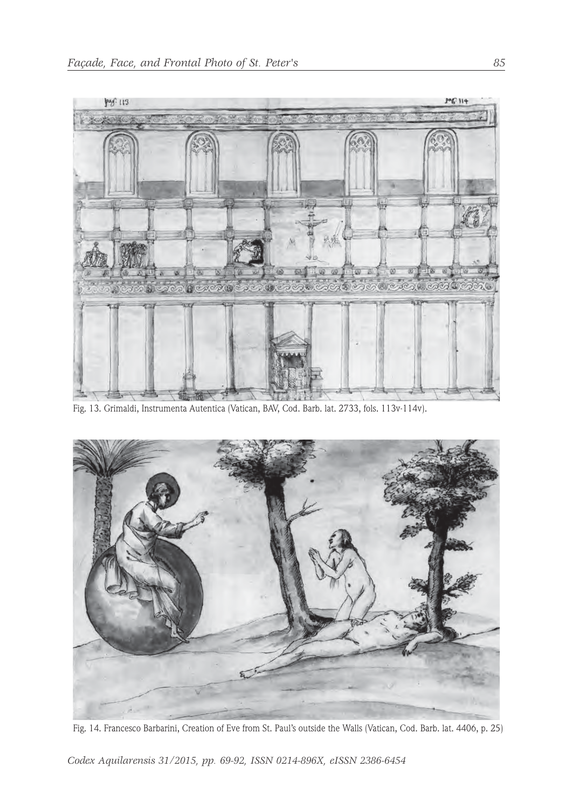

Fig. 13. Grimaldi, Instrumenta Autentica (Vatican, BAV, Cod. Barb. lat. 2733, fols. 113v-114v).



Fig. 14. Francesco Barbarini, Creation of Eve from St. Paul's outside the Walls (Vatican, Cod. Barb. lat. 4406, p. 25)

*Codex Aquilarensis 31/2015, pp. 69-92, ISSN 0214-896X, eISSN 2386-6454*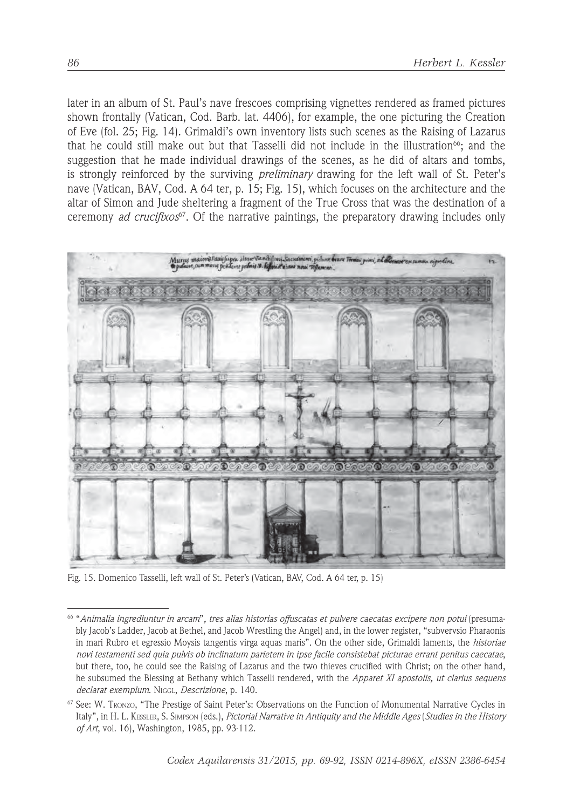later in an album of St. Paul's nave frescoes comprising vignettes rendered as framed pictures shown frontally (Vatican, Cod. Barb. lat. 4406), for example, the one picturing the Creation of Eve (fol. 25; Fig. 14). Grimaldi's own inventory lists such scenes as the Raising of Lazarus that he could still make out but that Tasselli did not include in the illustration<sup>66</sup>; and the suggestion that he made individual drawings of the scenes, as he did of altars and tombs, is strongly reinforced by the surviving *preliminary* drawing for the left wall of St. Peter's nave (Vatican, BAV, Cod. A 64 ter, p. 15; Fig. 15), which focuses on the architecture and the altar of Simon and Jude sheltering a fragment of the True Cross that was the destination of a ceremony *ad crucifixos*67. Of the narrative paintings, the preparatory drawing includes only



Fig. 15. Domenico Tasselli, left wall of St. Peter's (Vatican, BAV, Cod. A 64 ter, p. 15)

<sup>66 &</sup>quot;*Animalia ingrediuntur in arcam*"*, tres alias historias offuscatas et pulvere caecatas excipere non potui* (presumably Jacob's Ladder, Jacob at Bethel, and Jacob Wrestling the Angel) and, in the lower register, "subvervsio Pharaonis in mari Rubro et egressio Moysis tangentis virga aquas maris". On the other side, Grimaldi laments, the *historiae novi testamenti sed quia pulvis ob inclinatum parietem in ipse facile consistebat picturae errant penitus caecatae*, but there, too, he could see the Raising of Lazarus and the two thieves crucified with Christ; on the other hand, he subsumed the Blessing at Bethany which Tasselli rendered, with the *Apparet XI apostolis, ut clarius sequens declarat exemplum*. NIGGL, *Descrizione*, p. 140.

<sup>67</sup> See: W. TRONZO, "The Prestige of Saint Peter's: Observations on the Function of Monumental Narrative Cycles in Italy", in H. L. KESSLER, S. SIMPSON (eds.), *Pictorial Narrative in Antiquity and the Middle Ages* (*Studies in the History of Art*, vol. 16), Washington, 1985, pp. 93-112.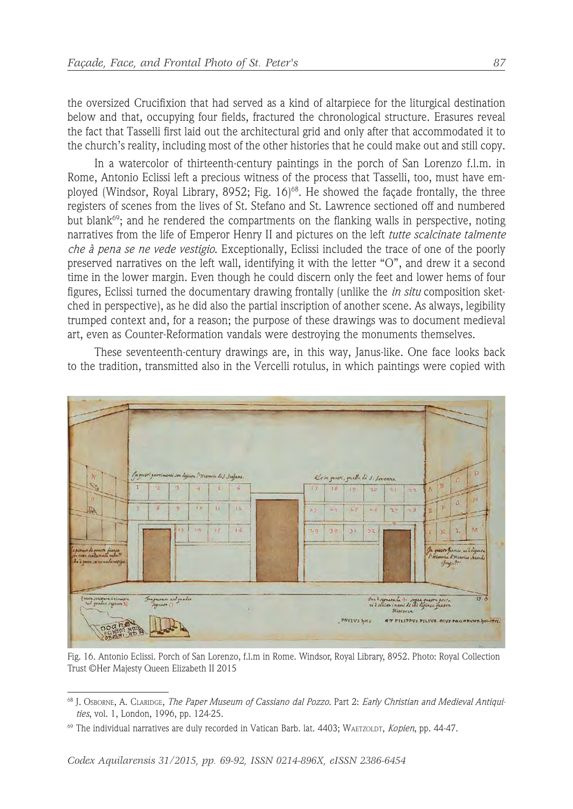the oversized Crucifixion that had served as a kind of altarpiece for the liturgical destination below and that, occupying four fields, fractured the chronological structure. Erasures reveal the fact that Tasselli first laid out the architectural grid and only after that accommodated it to the church's reality, including most of the other histories that he could make out and still copy.

In a watercolor of thirteenth-century paintings in the porch of San Lorenzo f.l.m. in Rome, Antonio Eclissi left a precious witness of the process that Tasselli, too, must have employed (Windsor, Royal Library, 8952; Fig.  $16)^{68}$ . He showed the facade frontally, the three registers of scenes from the lives of St. Stefano and St. Lawrence sectioned off and numbered but blank<sup>69</sup>; and he rendered the compartments on the flanking walls in perspective, noting narratives from the life of Emperor Henry II and pictures on the left *tutte scalcinate talmente che à pena se ne vede vestigio*. Exceptionally, Eclissi included the trace of one of the poorly preserved narratives on the left wall, identifying it with the letter "O", and drew it a second time in the lower margin. Even though he could discern only the feet and lower hems of four figures, Eclissi turned the documentary drawing frontally (unlike the *in situ* composition sketched in perspective), as he did also the partial inscription of another scene. As always, legibility trumped context and, for a reason; the purpose of these drawings was to document medieval art, even as Counter-Reformation vandals were destroying the monuments themselves.

These seventeenth-century drawings are, in this way, Janus-like. One face looks back to the tradition, transmitted also in the Vercelli rotulus, in which paintings were copied with



Fig. 16. Antonio Eclissi. Porch of San Lorenzo, f.l.m in Rome. Windsor, Royal Library, 8952. Photo: Royal Collection Trust ©Her Majesty Queen Elizabeth II 2015

<sup>68</sup> J. OSBORNE, A. CLARIDGE, *The Paper Museum of Cassiano dal Pozzo.* Part 2: *Early Christian and Medieval Antiquities*, vol. 1, London, 1996, pp. 124-25.

<sup>69</sup> The individual narratives are duly recorded in Vatican Barb. lat. 4403; WAETZOLDT, *Kopien*, pp. 44-47.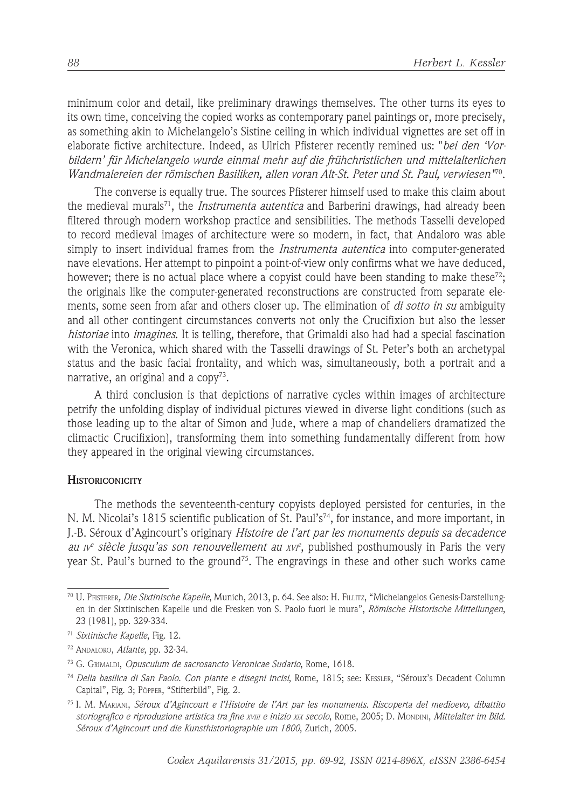minimum color and detail, like preliminary drawings themselves. The other turns its eyes to its own time, conceiving the copied works as contemporary panel paintings or, more precisely, as something akin to Michelangelo's Sistine ceiling in which individual vignettes are set off in elaborate fictive architecture. Indeed, as Ulrich Pfisterer recently remined us: "*bei den 'Vorbildern' für Michelangelo wurde einmal mehr auf die frühchristlichen und mittelalterlichen Wandmalereien der römischen Basiliken, allen voran Alt-St. Peter und St. Paul, verwiesen"*70.

The converse is equally true. The sources Pfisterer himself used to make this claim about the medieval murals71, the *Instrumenta autentica* and Barberini drawings, had already been filtered through modern workshop practice and sensibilities. The methods Tasselli developed to record medieval images of architecture were so modern, in fact, that Andaloro was able simply to insert individual frames from the *Instrumenta autentica* into computer-generated nave elevations. Her attempt to pinpoint a point-of-view only confirms what we have deduced, however; there is no actual place where a copyist could have been standing to make these<sup>72</sup>; the originals like the computer-generated reconstructions are constructed from separate elements, some seen from afar and others closer up. The elimination of *di sotto in su* ambiguity and all other contingent circumstances converts not only the Crucifixion but also the lesser *historiae* into *imagines*. It is telling, therefore, that Grimaldi also had had a special fascination with the Veronica, which shared with the Tasselli drawings of St. Peter's both an archetypal status and the basic facial frontality, and which was, simultaneously, both a portrait and a narrative, an original and a  $copy^{73}$ .

A third conclusion is that depictions of narrative cycles within images of architecture petrify the unfolding display of individual pictures viewed in diverse light conditions (such as those leading up to the altar of Simon and Jude, where a map of chandeliers dramatized the climactic Crucifixion), transforming them into something fundamentally different from how they appeared in the original viewing circumstances.

#### **HISTORICONICITY**

The methods the seventeenth-century copyists deployed persisted for centuries, in the N. M. Nicolai's 1815 scientific publication of St. Paul's<sup>74</sup>, for instance, and more important, in J.-B. Séroux d'Agincourt's originary *Histoire de l'art par les monuments depuis sa decadence au IV<sup>e</sup> siècle jusqu'as son renouvellement au XVI<sup>e</sup>* , published posthumously in Paris the very year St. Paul's burned to the ground<sup>75</sup>. The engravings in these and other such works came

<sup>70</sup> U. PFISTERER*, Die Sixtinische Kapelle*, Munich, 2013, p. 64. See also: H. FILLITZ, "Michelangelos Genesis-Darstellungen in der Sixtinischen Kapelle und die Fresken von S. Paolo fuori le mura", *Römische Historische Mitteilungen*, 23 (1981), pp. 329-334.

<sup>71</sup> *Sixtinische Kapelle*, Fig. 12.

<sup>72</sup> ANDALORO, *Atlante*, pp. 32-34.

<sup>73</sup> G. GRIMALDI, *Opusculum de sacrosancto Veronicae Sudario*, Rome, 1618.

<sup>74</sup> *Della basilica di San Paolo. Con piante e disegni incisi*, Rome, 1815; see: KESSLER, "Séroux's Decadent Column Capital", Fig. 3; PÖPPER, "Stifterbild", Fig. 2.

<sup>75</sup> I. M. MARIANI, *Séroux d'Agincourt e l'Histoire de l'Art par les monuments. Riscoperta del medioevo, dibattito storiografico e riproduzione artistica tra fine XVIII e inizio XIX secolo*, Rome, 2005; D. MONDINI, *Mittelalter im Bild. Séroux d'Agincourt und die Kunsthistoriographie um 1800*, Zurich, 2005.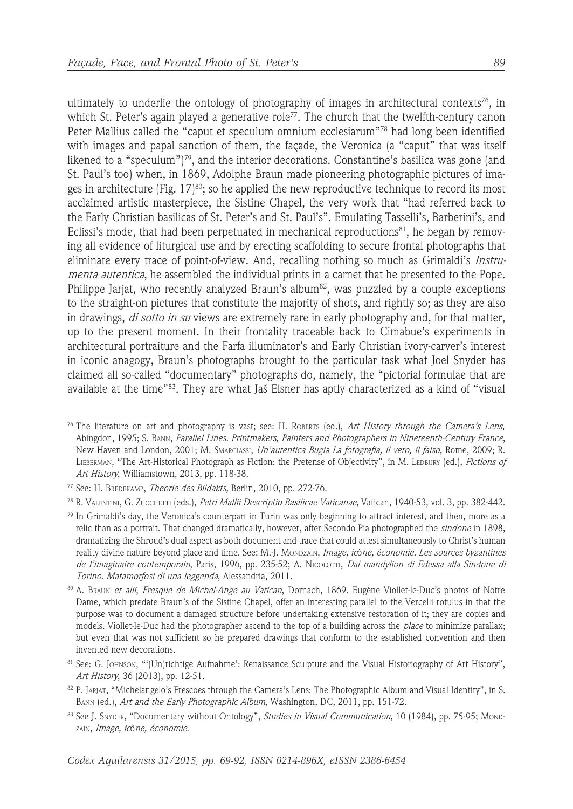ultimately to underlie the ontology of photography of images in architectural contexts<sup>76</sup>, in which St. Peter's again played a generative role<sup>77</sup>. The church that the twelfth-century canon Peter Mallius called the "caput et speculum omnium ecclesiarum"78 had long been identified with images and papal sanction of them, the façade, the Veronica (a "caput" that was itself likened to a "speculum")<sup>79</sup>, and the interior decorations. Constantine's basilica was gone (and St. Paul's too) when, in 1869, Adolphe Braun made pioneering photographic pictures of images in architecture (Fig.  $17$ )<sup>80</sup>; so he applied the new reproductive technique to record its most acclaimed artistic masterpiece, the Sistine Chapel, the very work that "had referred back to the Early Christian basilicas of St. Peter's and St. Paul's". Emulating Tasselli's, Barberini's, and Eclissi's mode, that had been perpetuated in mechanical reproductions $81$ , he began by removing all evidence of liturgical use and by erecting scaffolding to secure frontal photographs that eliminate every trace of point-of-view. And, recalling nothing so much as Grimaldi's *Instrumenta autentica*, he assembled the individual prints in a carnet that he presented to the Pope. Philippe Jarjat, who recently analyzed Braun's album<sup>82</sup>, was puzzled by a couple exceptions to the straight-on pictures that constitute the majority of shots, and rightly so; as they are also in drawings, *di sotto in su* views are extremely rare in early photography and, for that matter, up to the present moment. In their frontality traceable back to Cimabue's experiments in architectural portraiture and the Farfa illuminator's and Early Christian ivory-carver's interest in iconic anagogy, Braun's photographs brought to the particular task what Joel Snyder has claimed all so-called "documentary" photographs do, namely, the "pictorial formulae that are available at the time"83. They are what Jaš Elsner has aptly characterized as a kind of "visual

<sup>76</sup> The literature on art and photography is vast; see: H. ROBERTS (ed.), *Art History through the Camera's Lens*, Abingdon, 1995; S. BANN, *Parallel Lines. Printmakers, Painters and Photographers in Nineteenth-Century France*, New Haven and London, 2001; M. SMARGIASSI, *Un'autentica Bugia La fotografia, il vero, il falso,* Rome, 2009; R. LIEBERMAN, "The Art-Historical Photograph as Fiction: the Pretense of Objectivity", in M. LEDBURY (ed.), *Fictions of Art History*, Williamstown, 2013, pp. 118-38.

<sup>77</sup> See: H. BREDEKAMP, *Theorie des Bildakts,* Berlin, 2010, pp. 272-76.

<sup>78</sup> R. VALENTINI, G. ZUCCHETTI (eds.), *Petri Mallii Descriptio Basilicae Vaticanae*, Vatican, 1940-53, vol. 3, pp. 382-442.

 $79$  In Grimaldi's day, the Veronica's counterpart in Turin was only beginning to attract interest, and then, more as a relic than as a portrait. That changed dramatically, however, after Secondo Pia photographed the *sindone* in 1898, dramatizing the Shroud's dual aspect as both document and trace that could attest simultaneously to Christ's human reality divine nature beyond place and time. See: M.-J. MONDZAIN, *Image, ic*ô*ne, économie. Les sources byzantines de l'imaginaire contemporain*, Paris, 1996, pp. 235-52; A. NICOLOTTI, *Dal mandylion di Edessa alla Sindone di Torino. Matamorfosi di una leggenda*, Alessandria, 2011.

<sup>80</sup> A. BRAUN *et alii*, *Fresque de Michel-Ange au Vatican*, Dornach, 1869. Eugène Viollet-le-Duc's photos of Notre Dame, which predate Braun's of the Sistine Chapel, offer an interesting parallel to the Vercelli rotulus in that the purpose was to document a damaged structure before undertaking extensive restoration of it; they are copies and models. Viollet-le-Duc had the photographer ascend to the top of a building across the *place* to minimize parallax; but even that was not sufficient so he prepared drawings that conform to the established convention and then invented new decorations.

<sup>81</sup> See: G. JOHNSON, "'(Un)richtige Aufnahme': Renaissance Sculpture and the Visual Historiography of Art History", *Art History*, 36 (2013), pp. 12-51.

<sup>82</sup> P. JARJAT, "Michelangelo's Frescoes through the Camera's Lens: The Photographic Album and Visual Identity", in S. BANN (ed.), *Art and the Early Photographic Album*, Washington, DC, 2011, pp. 151-72.

<sup>83</sup> See J. SNYDER, "Documentary without Ontology", *Studies in Visual Communication*, 10 (1984), pp. 75-95; MOND-ZAIN, *Image, ic*ô*ne, économie*.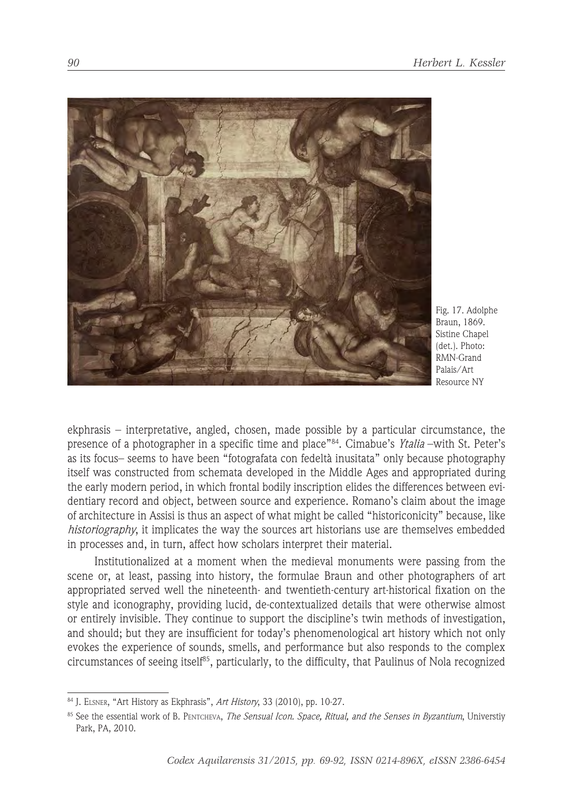

Fig. 17. Adolphe Braun, 1869. Sistine Chapel (det.). Photo: RMN-Grand Palais/Art Resource NY

ekphrasis – interpretative, angled, chosen, made possible by a particular circumstance, the presence of a photographer in a specific time and place"84. Cimabue's *Ytalia* –with St. Peter's as its focus– seems to have been "fotografata con fedeltà inusitata" only because photography itself was constructed from schemata developed in the Middle Ages and appropriated during the early modern period, in which frontal bodily inscription elides the differences between evidentiary record and object, between source and experience. Romano's claim about the image of architecture in Assisi is thus an aspect of what might be called "historiconicity" because, like *historiography*, it implicates the way the sources art historians use are themselves embedded in processes and, in turn, affect how scholars interpret their material.

Institutionalized at a moment when the medieval monuments were passing from the scene or, at least, passing into history, the formulae Braun and other photographers of art appropriated served well the nineteenth- and twentieth-century art-historical fixation on the style and iconography, providing lucid, de-contextualized details that were otherwise almost or entirely invisible. They continue to support the discipline's twin methods of investigation, and should; but they are insufficient for today's phenomenological art history which not only evokes the experience of sounds, smells, and performance but also responds to the complex circumstances of seeing itself<sup>85</sup>, particularly, to the difficulty, that Paulinus of Nola recognized

<sup>84</sup> J. ELSNER, "Art History as Ekphrasis", *Art History*, 33 (2010), pp. 10-27.

<sup>85</sup> See the essential work of B. PENTCHEVA, *The Sensual Icon. Space, Ritual, and the Senses in Byzantium*, Universtiy Park, PA, 2010.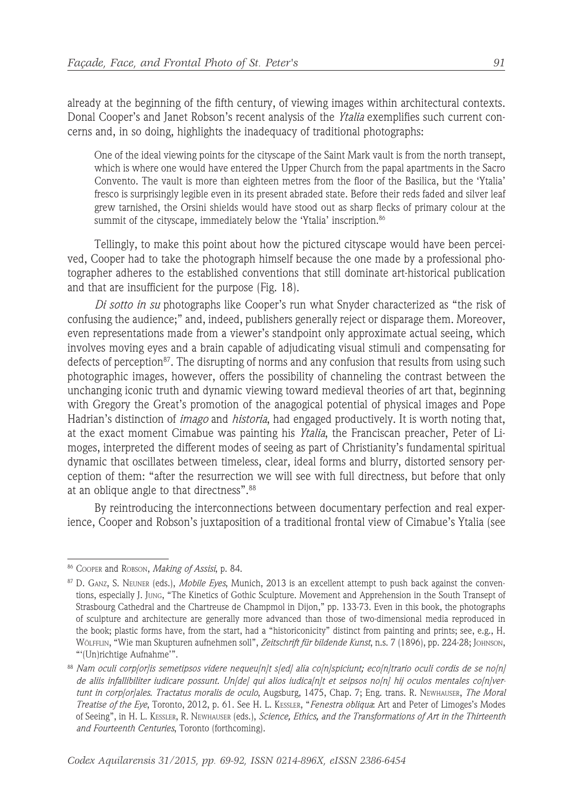already at the beginning of the fifth century, of viewing images within architectural contexts. Donal Cooper's and Janet Robson's recent analysis of the *Ytalia* exemplifies such current concerns and, in so doing, highlights the inadequacy of traditional photographs:

One of the ideal viewing points for the cityscape of the Saint Mark vault is from the north transept, which is where one would have entered the Upper Church from the papal apartments in the Sacro Convento. The vault is more than eighteen metres from the floor of the Basilica, but the 'Ytalia' fresco is surprisingly legible even in its present abraded state. Before their reds faded and silver leaf grew tarnished, the Orsini shields would have stood out as sharp flecks of primary colour at the summit of the cityscape, immediately below the 'Ytalia' inscription.<sup>86</sup>

Tellingly, to make this point about how the pictured cityscape would have been perceived, Cooper had to take the photograph himself because the one made by a professional photographer adheres to the established conventions that still dominate art-historical publication and that are insufficient for the purpose (Fig. 18).

*Di sotto in su* photographs like Cooper's run what Snyder characterized as "the risk of confusing the audience;" and, indeed, publishers generally reject or disparage them. Moreover, even representations made from a viewer's standpoint only approximate actual seeing, which involves moving eyes and a brain capable of adjudicating visual stimuli and compensating for defects of perception<sup>87</sup>. The disrupting of norms and any confusion that results from using such photographic images, however, offers the possibility of channeling the contrast between the unchanging iconic truth and dynamic viewing toward medieval theories of art that, beginning with Gregory the Great's promotion of the anagogical potential of physical images and Pope Hadrian's distinction of *imago* and *historia*, had engaged productively. It is worth noting that, at the exact moment Cimabue was painting his *Ytalia*, the Franciscan preacher, Peter of Limoges, interpreted the different modes of seeing as part of Christianity's fundamental spiritual dynamic that oscillates between timeless, clear, ideal forms and blurry, distorted sensory perception of them: "after the resurrection we will see with full directness, but before that only at an oblique angle to that directness".<sup>88</sup>

By reintroducing the interconnections between documentary perfection and real experience, Cooper and Robson's juxtaposition of a traditional frontal view of Cimabue's Ytalia (see

<sup>86</sup> COOPER and ROBSON, *Making of Assisi*, p. 84.

<sup>87</sup> D. GANZ, S. NEUNER (eds.), *Mobile Eyes*, Munich, 2013 is an excellent attempt to push back against the conventions, especially J. JUNG, "The Kinetics of Gothic Sculpture. Movement and Apprehension in the South Transept of Strasbourg Cathedral and the Chartreuse de Champmol in Dijon," pp. 133-73. Even in this book, the photographs of sculpture and architecture are generally more advanced than those of two-dimensional media reproduced in the book; plastic forms have, from the start, had a "historiconicity" distinct from painting and prints; see, e.g., H. WÖLFFLIN, "Wie man Skupturen aufnehmen soll", *Zeitschrift für bildende Kunst*, n.s. 7 (1896), pp. 224-28; JOHNSON, "'(Un)richtige Aufnahme'".

<sup>88</sup> *Nam oculi corp[or]is semetipsos videre nequeu[n]t s[ed] alia co[n]spiciunt; eco[n]trario oculi cordis de se no[n] de aliis infallibiliter iudicare possunt. Un[de] qui alios iudica[n]t et seipsos no[n] hij oculos mentales co[n]vertunt in corp[or]ales*. *Tractatus moralis de oculo*, Augsburg, 1475, Chap. 7; Eng. trans. R. NEWHAUSER, *The Moral Treatise of the Eye*, Toronto, 2012, p. 61. See H. L. KESSLER, "*Fenestra obliqua*: Art and Peter of Limoges's Modes of Seeing", in H. L. KESSLER, R. NEWHAUSER (eds.), *Science, Ethics, and the Transformations of Art in the Thirteenth and Fourteenth Centuries*, Toronto (forthcoming).